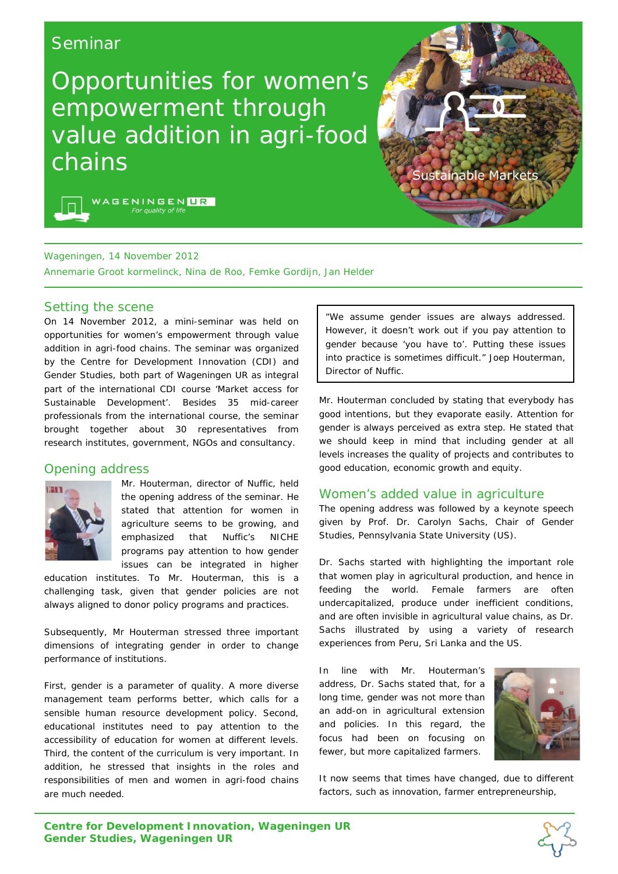# Seminar

Opportunities for women's empowerment through value addition in agri-food chains





## Wageningen, 14 November 2012

Annemarie Groot kormelinck, Nina de Roo, Femke Gordijn, Jan Helder

#### Setting the scene

On 14 November 2012, a mini-seminar was held on opportunities for women's empowerment through value addition in agri-food chains. The seminar was organized by the Centre for Development Innovation (CDI) and Gender Studies, both part of Wageningen UR as integral part of the international CDI course 'Market access for Sustainable Development'. Besides 35 mid-career professionals from the international course, the seminar brought together about 30 representatives from research institutes, government, NGOs and consultancy.

## Opening address



Mr. Houterman, director of Nuffic, held the opening address of the seminar. He stated that attention for women in agriculture seems to be growing, and emphasized that Nuffic's NICHE programs pay attention to how gender issues can be integrated in higher

education institutes. To Mr. Houterman, this is a challenging task, given that gender policies are not always aligned to donor policy programs and practices.

Subsequently, Mr Houterman stressed three important dimensions of integrating gender in order to change performance of institutions.

First, gender is a parameter of quality. A more diverse management team performs better, which calls for a sensible human resource development policy. Second, educational institutes need to pay attention to the accessibility of education for women at different levels. Third, the content of the curriculum is very important. In addition, he stressed that insights in the roles and responsibilities of men and women in agri-food chains are much needed.

*"We assume gender issues are always addressed. However, it doesn't work out if you pay attention to gender because 'you have to'. Putting these issues into practice is sometimes difficult."* Joep Houterman, Director of Nuffic.

Mr. Houterman concluded by stating that everybody has good intentions, but they evaporate easily. Attention for gender is always perceived as extra step. He stated that we should keep in mind that including gender at all levels increases the quality of projects and contributes to good education, economic growth and equity.

## Women's added value in agriculture

The opening address was followed by a keynote speech given by Prof. Dr. Carolyn Sachs, Chair of Gender Studies, Pennsylvania State University (US).

Dr. Sachs started with highlighting the important role that women play in agricultural production, and hence in feeding the world. Female farmers are often undercapitalized, produce under inefficient conditions, and are often invisible in agricultural value chains, as Dr. Sachs illustrated by using a variety of research experiences from Peru, Sri Lanka and the US.

In line with Mr. Houterman's address, Dr. Sachs stated that, for a long time, gender was not more than an add-on in agricultural extension and policies. In this regard, the focus had been on focusing on fewer, but more capitalized farmers.



It now seems that times have changed, due to different factors, such as innovation, farmer entrepreneurship,

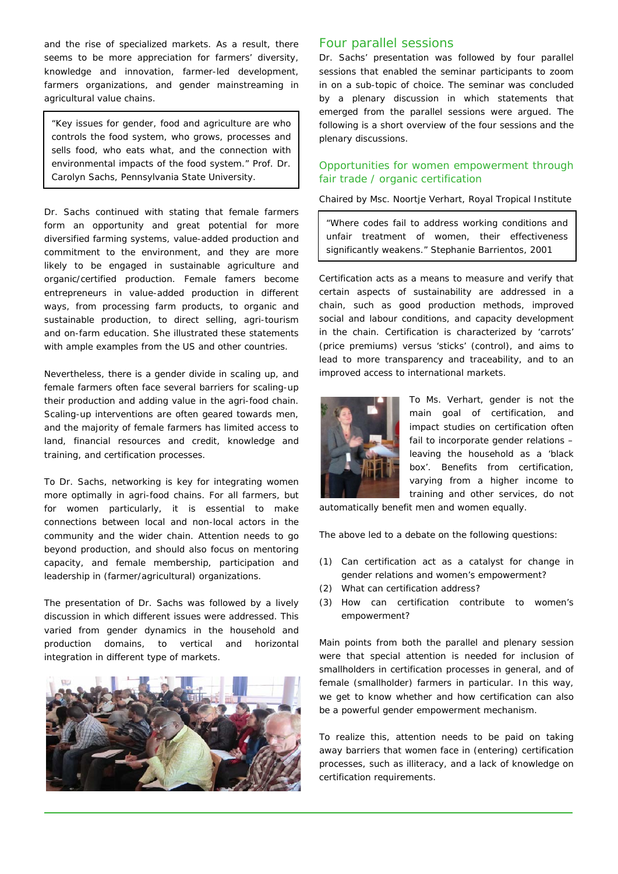and the rise of specialized markets. As a result, there seems to be more appreciation for farmers' diversity, knowledge and innovation, farmer-led development, farmers organizations, and gender mainstreaming in agricultural value chains.

*"Key issues for gender, food and agriculture are who controls the food system, who grows, processes and sells food, who eats what, and the connection with environmental impacts of the food system."* Prof. Dr. Carolyn Sachs, Pennsylvania State University.

Dr. Sachs continued with stating that female farmers form an opportunity and great potential for more diversified farming systems, value-added production and commitment to the environment, and they are more likely to be engaged in sustainable agriculture and organic/certified production. Female famers become entrepreneurs in value-added production in different ways, from processing farm products, to organic and sustainable production, to direct selling, agri-tourism and on-farm education. She illustrated these statements with ample examples from the US and other countries.

Nevertheless, there is a gender divide in scaling up, and female farmers often face several barriers for scaling-up their production and adding value in the agri-food chain. Scaling-up interventions are often geared towards men, and the majority of female farmers has limited access to land, financial resources and credit, knowledge and training, and certification processes.

To Dr. Sachs, networking is key for integrating women more optimally in agri-food chains. For all farmers, but for women particularly, it is essential to make connections between local and non-local actors in the community and the wider chain. Attention needs to go beyond production, and should also focus on mentoring capacity, and female membership, participation and leadership in (farmer/agricultural) organizations.

The presentation of Dr. Sachs was followed by a lively discussion in which different issues were addressed. This varied from gender dynamics in the household and production domains, to vertical and horizontal integration in different type of markets.



## Four parallel sessions

Dr. Sachs' presentation was followed by four parallel sessions that enabled the seminar participants to zoom in on a sub-topic of choice. The seminar was concluded by a plenary discussion in which statements that emerged from the parallel sessions were argued. The following is a short overview of the four sessions and the plenary discussions.

## *Opportunities for women empowerment through fair trade / organic certification*

*Chaired by Msc. Noortje Verhart, Royal Tropical Institute*

*"Where codes fail to address working conditions and unfair treatment of women, their effectiveness significantly weakens."* Stephanie Barrientos, 2001

Certification acts as a means to measure and verify that certain aspects of sustainability are addressed in a chain, such as good production methods, improved social and labour conditions, and capacity development in the chain. Certification is characterized by 'carrots' (price premiums) versus 'sticks' (control), and aims to lead to more transparency and traceability, and to an improved access to international markets.



To Ms. Verhart, gender is not the main goal of certification, and impact studies on certification often fail to incorporate gender relations – leaving the household as a 'black box'. Benefits from certification, varying from a higher income to training and other services, do not

automatically benefit men and women equally.

The above led to a debate on the following questions:

- *(1) Can certification act as a catalyst for change in gender relations and women's empowerment?*
- *(2) What can certification address?*
- *(3) How can certification contribute to women's empowerment?*

Main points from both the parallel and plenary session were that special attention is needed for inclusion of smallholders in certification processes in general, and of female (smallholder) farmers in particular. In this way, we get to know whether and how certification can also be a powerful gender empowerment mechanism.

To realize this, attention needs to be paid on taking away barriers that women face in (entering) certification processes, such as illiteracy, and a lack of knowledge on certification requirements.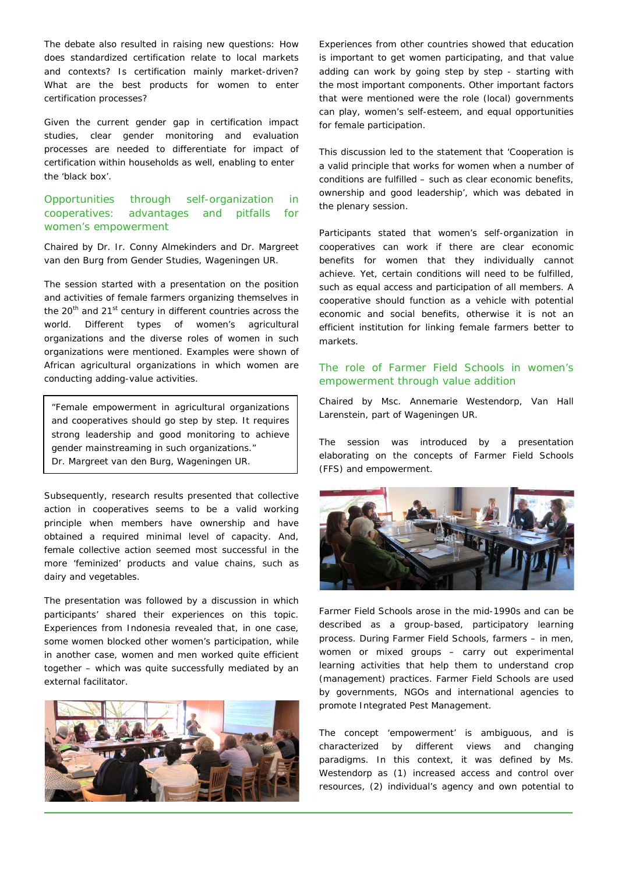The debate also resulted in raising new questions: How does standardized certification relate to local markets and contexts? Is certification mainly market-driven? What are the best products for women to enter certification processes?

Given the current gender gap in certification impact studies, clear gender monitoring and evaluation processes are needed to differentiate for impact of certification within households as well, enabling to enter the 'black box'.

# *Opportunities through self-organization in cooperatives: advantages and pitfalls for women's empowerment*

*Chaired by Dr. Ir. Conny Almekinders and Dr. Margreet van den Burg from Gender Studies, Wageningen UR.* 

The session started with a presentation on the position and activities of female farmers organizing themselves in the 20<sup>th</sup> and 21<sup>st</sup> century in different countries across the world. Different types of women's agricultural organizations and the diverse roles of women in such organizations were mentioned. Examples were shown of African agricultural organizations in which women are conducting adding-value activities.

*"Female empowerment in agricultural organizations and cooperatives should go step by step. It requires strong leadership and good monitoring to achieve gender mainstreaming in such organizations."*  Dr. Margreet van den Burg, Wageningen UR.

Subsequently, research results presented that collective action in cooperatives seems to be a valid working principle when members have ownership and have obtained a required minimal level of capacity. And, female collective action seemed most successful in the more 'feminized' products and value chains, such as dairy and vegetables.

The presentation was followed by a discussion in which participants' shared their experiences on this topic. Experiences from Indonesia revealed that, in one case, some women blocked other women's participation, while in another case, women and men worked quite efficient together – which was quite successfully mediated by an external facilitator.



Experiences from other countries showed that education is important to get women participating, and that value adding can work by going step by step - starting with the most important components. Other important factors that were mentioned were the role (local) governments can play, women's self-esteem, and equal opportunities for female participation.

This discussion led to the statement that *'Cooperation is a valid principle that works for women when a number of conditions are fulfilled – such as clear economic benefits, ownership and good leadership'*, which was debated in the plenary session.

Participants stated that women's self-organization in cooperatives can work if there are clear economic benefits for women that they individually cannot achieve. Yet, certain conditions will need to be fulfilled, such as equal access and participation of all members. A cooperative should function as a *vehicle* with potential economic and social benefits, otherwise it is not an efficient institution for linking female farmers better to markets.

# *The role of Farmer Field Schools in women's empowerment through value addition*

*Chaired by Msc. Annemarie Westendorp, Van Hall Larenstein, part of Wageningen UR.* 

The session was introduced by a presentation elaborating on the concepts of Farmer Field Schools (FFS) and empowerment.



Farmer Field Schools arose in the mid-1990s and can be described as a group-based, participatory learning process. During Farmer Field Schools, farmers – in men, women or mixed groups – carry out experimental learning activities that help them to understand crop (management) practices. Farmer Field Schools are used by governments, NGOs and international agencies to promote Integrated Pest Management.

The concept 'empowerment' is ambiguous, and is characterized by different views and changing paradigms. In this context, it was defined by Ms. Westendorp as (1) increased access and control over resources, (2) individual's agency and own potential to